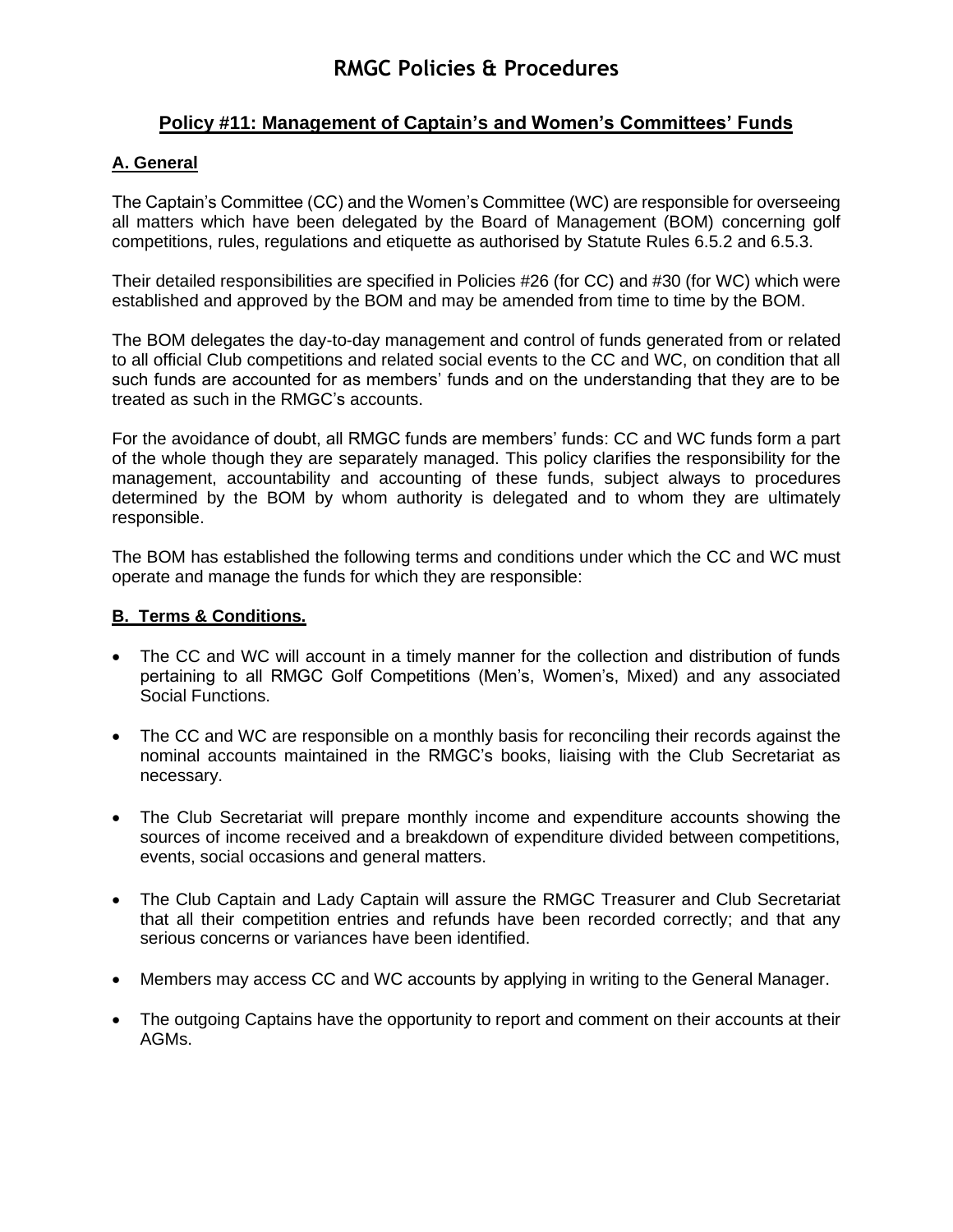## **Policy #11: Management of Captain's and Women's Committees' Funds**

### **A. General**

The Captain's Committee (CC) and the Women's Committee (WC) are responsible for overseeing all matters which have been delegated by the Board of Management (BOM) concerning golf competitions, rules, regulations and etiquette as authorised by Statute Rules 6.5.2 and 6.5.3.

Their detailed responsibilities are specified in Policies #26 (for CC) and #30 (for WC) which were established and approved by the BOM and may be amended from time to time by the BOM.

The BOM delegates the day-to-day management and control of funds generated from or related to all official Club competitions and related social events to the CC and WC, on condition that all such funds are accounted for as members' funds and on the understanding that they are to be treated as such in the RMGC's accounts.

For the avoidance of doubt, all RMGC funds are members' funds: CC and WC funds form a part of the whole though they are separately managed. This policy clarifies the responsibility for the management, accountability and accounting of these funds, subject always to procedures determined by the BOM by whom authority is delegated and to whom they are ultimately responsible.

The BOM has established the following terms and conditions under which the CC and WC must operate and manage the funds for which they are responsible:

### **B. Terms & Conditions.**

- The CC and WC will account in a timely manner for the collection and distribution of funds pertaining to all RMGC Golf Competitions (Men's, Women's, Mixed) and any associated Social Functions.
- The CC and WC are responsible on a monthly basis for reconciling their records against the nominal accounts maintained in the RMGC's books, liaising with the Club Secretariat as necessary.
- The Club Secretariat will prepare monthly income and expenditure accounts showing the sources of income received and a breakdown of expenditure divided between competitions, events, social occasions and general matters.
- The Club Captain and Lady Captain will assure the RMGC Treasurer and Club Secretariat that all their competition entries and refunds have been recorded correctly; and that any serious concerns or variances have been identified.
- Members may access CC and WC accounts by applying in writing to the General Manager.
- The outgoing Captains have the opportunity to report and comment on their accounts at their AGMs.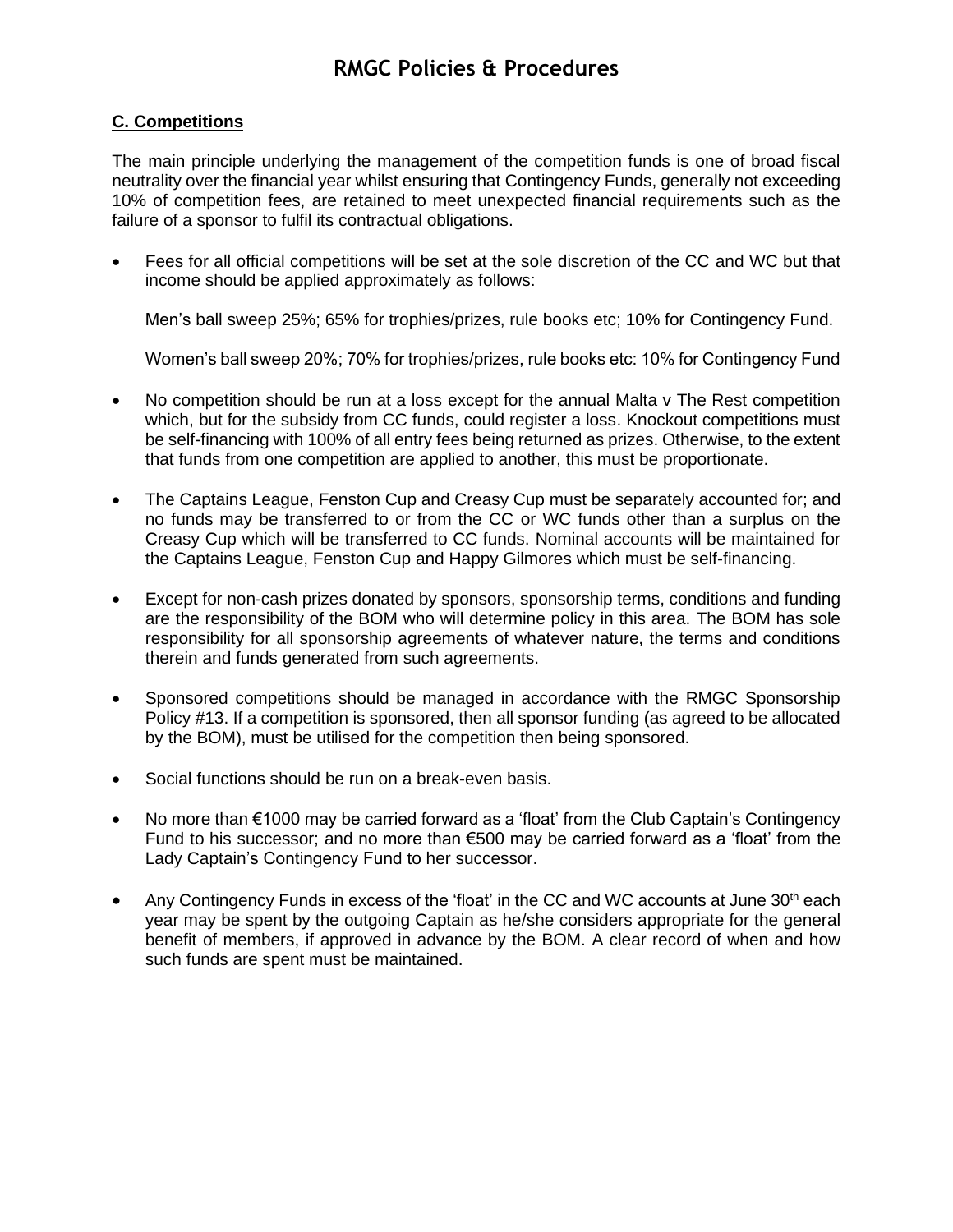# **RMGC Policies & Procedures**

#### **C. Competitions**

The main principle underlying the management of the competition funds is one of broad fiscal neutrality over the financial year whilst ensuring that Contingency Funds, generally not exceeding 10% of competition fees, are retained to meet unexpected financial requirements such as the failure of a sponsor to fulfil its contractual obligations.

• Fees for all official competitions will be set at the sole discretion of the CC and WC but that income should be applied approximately as follows:

Men's ball sweep 25%; 65% for trophies/prizes, rule books etc; 10% for Contingency Fund.

Women's ball sweep 20%; 70% for trophies/prizes, rule books etc: 10% for Contingency Fund

- No competition should be run at a loss except for the annual Malta v The Rest competition which, but for the subsidy from CC funds, could register a loss. Knockout competitions must be self-financing with 100% of all entry fees being returned as prizes. Otherwise, to the extent that funds from one competition are applied to another, this must be proportionate.
- The Captains League, Fenston Cup and Creasy Cup must be separately accounted for; and no funds may be transferred to or from the CC or WC funds other than a surplus on the Creasy Cup which will be transferred to CC funds. Nominal accounts will be maintained for the Captains League, Fenston Cup and Happy Gilmores which must be self-financing.
- Except for non-cash prizes donated by sponsors, sponsorship terms, conditions and funding are the responsibility of the BOM who will determine policy in this area. The BOM has sole responsibility for all sponsorship agreements of whatever nature, the terms and conditions therein and funds generated from such agreements.
- Sponsored competitions should be managed in accordance with the RMGC Sponsorship Policy #13. If a competition is sponsored, then all sponsor funding (as agreed to be allocated by the BOM), must be utilised for the competition then being sponsored.
- Social functions should be run on a break-even basis.
- No more than €1000 may be carried forward as a 'float' from the Club Captain's Contingency Fund to his successor; and no more than €500 may be carried forward as a 'float' from the Lady Captain's Contingency Fund to her successor.
- Any Contingency Funds in excess of the 'float' in the CC and WC accounts at June  $30<sup>th</sup>$  each year may be spent by the outgoing Captain as he/she considers appropriate for the general benefit of members, if approved in advance by the BOM. A clear record of when and how such funds are spent must be maintained.